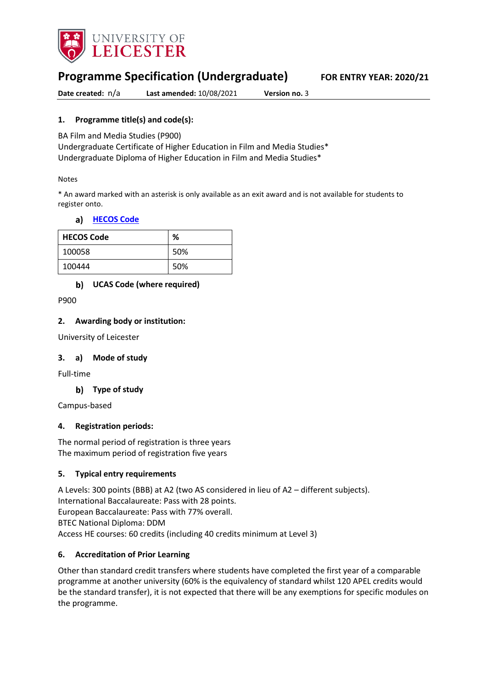

# **Programme Specification (Undergraduate) FOR ENTRY YEAR: 2020/21**

**Date created:** n/a **Last amended:** 10/08/2021 **Version no.** 3

### **1. Programme title(s) and code(s):**

BA Film and Media Studies (P900)

Undergraduate Certificate of Higher Education in Film and Media Studies\* Undergraduate Diploma of Higher Education in Film and Media Studies\*

#### Notes

\* An award marked with an asterisk is only available as an exit award and is not available for students to register onto.

#### **[HECOS Code](https://www.hesa.ac.uk/innovation/hecos)**

| <b>HECOS Code</b> | %   |
|-------------------|-----|
| 100058            | 50% |
| 100444            | 50% |

#### **UCAS Code (where required)**

P900

#### **2. Awarding body or institution:**

University of Leicester

#### **3. a) Mode of study**

Full-time

**Type of study**

Campus-based

#### **4. Registration periods:**

The normal period of registration is three years The maximum period of registration five years

#### **5. Typical entry requirements**

A Levels: 300 points (BBB) at A2 (two AS considered in lieu of A2 – different subjects). International Baccalaureate: Pass with 28 points. European Baccalaureate: Pass with 77% overall. BTEC National Diploma: DDM Access HE courses: 60 credits (including 40 credits minimum at Level 3)

#### **6. Accreditation of Prior Learning**

Other than standard credit transfers where students have completed the first year of a comparable programme at another university (60% is the equivalency of standard whilst 120 APEL credits would be the standard transfer), it is not expected that there will be any exemptions for specific modules on the programme.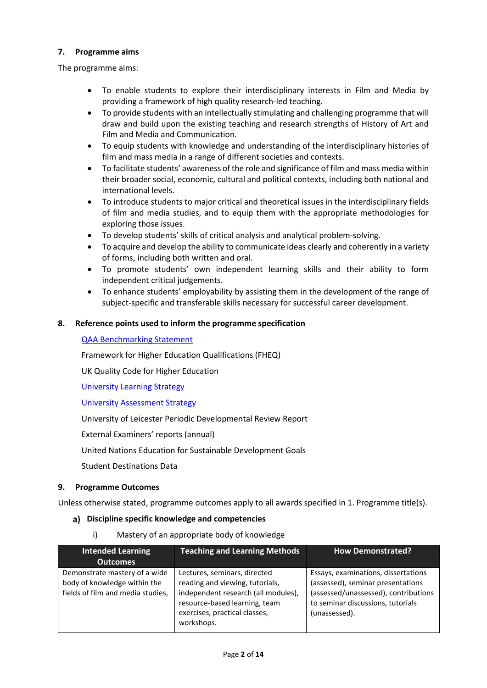#### **7. Programme aims**

The programme aims:

- To enable students to explore their interdisciplinary interests in Film and Media by providing a framework of high quality research-led teaching.
- To provide students with an intellectually stimulating and challenging programme that will draw and build upon the existing teaching and research strengths of History of Art and Film and Media and Communication.
- To equip students with knowledge and understanding of the interdisciplinary histories of film and mass media in a range of different societies and contexts.
- To facilitate students' awareness of the role and significance of film and mass media within their broader social, economic, cultural and political contexts, including both national and international levels.
- To introduce students to major critical and theoretical issues in the interdisciplinary fields of film and media studies, and to equip them with the appropriate methodologies for exploring those issues.
- To develop students' skills of critical analysis and analytical problem-solving.
- To acquire and develop the ability to communicate ideas clearly and coherently in a variety of forms, including both written and oral.
- To promote students' own independent learning skills and their ability to form independent critical judgements.
- To enhance students' employability by assisting them in the development of the range of subject-specific and transferable skills necessary for successful career development.

#### **8. Reference points used to inform the programme specification**

#### [QAA Benchmarking Statement](https://eur03.safelinks.protection.outlook.com/?url=https%3A%2F%2Fwww.qaa.ac.uk%2Fdocs%2Fqaa%2Fsubject-benchmark-statements%2Fsubject-benchmark-statement-communication-media-film-and-cultural-studies.pdf%3Fsfvrsn%3D28e2cb81_4&data=04%7C01%7Cmn29%40leicester.ac.uk%7C75eedf4f58064b63072308d8e9439438%7Caebecd6a31d44b0195ce8274afe853d9%7C0%7C0%7C637515823741731634%7CUnknown%7CTWFpbGZsb3d8eyJWIjoiMC4wLjAwMDAiLCJQIjoiV2luMzIiLCJBTiI6Ik1haWwiLCJXVCI6Mn0%3D%7C1000&sdata=TlHeIOw3raJAJU6Zg%2Fj3o9CGUOv%2B13CanUAhIk5ow%2F8%3D&reserved=0)

Framework for Higher Education Qualifications (FHEQ)

UK Quality Code for Higher Education

University Learning [Strategy](https://www2.le.ac.uk/offices/sas2/quality/learnteach)

[University Assessment Strategy](https://www2.le.ac.uk/offices/sas2/quality/learnteach)

University of Leicester Periodic Developmental Review Report

External Examiners' reports (annual)

United Nations Education for Sustainable Development Goals

Student Destinations Data

#### **9. Programme Outcomes**

Unless otherwise stated, programme outcomes apply to all awards specified in 1. Programme title(s).

#### **Discipline specific knowledge and competencies**

i) Mastery of an appropriate body of knowledge

| <b>Intended Learning</b>                                                                           | <b>Teaching and Learning Methods</b>                                                                                                                                                   | <b>How Demonstrated?</b>                                                                                                                                               |
|----------------------------------------------------------------------------------------------------|----------------------------------------------------------------------------------------------------------------------------------------------------------------------------------------|------------------------------------------------------------------------------------------------------------------------------------------------------------------------|
| <b>Outcomes</b>                                                                                    |                                                                                                                                                                                        |                                                                                                                                                                        |
| Demonstrate mastery of a wide<br>body of knowledge within the<br>fields of film and media studies, | Lectures, seminars, directed<br>reading and viewing, tutorials,<br>independent research (all modules),<br>resource-based learning, team<br>exercises, practical classes,<br>workshops. | Essays, examinations, dissertations<br>(assessed), seminar presentations<br>(assessed/unassessed), contributions<br>to seminar discussions, tutorials<br>(unassessed). |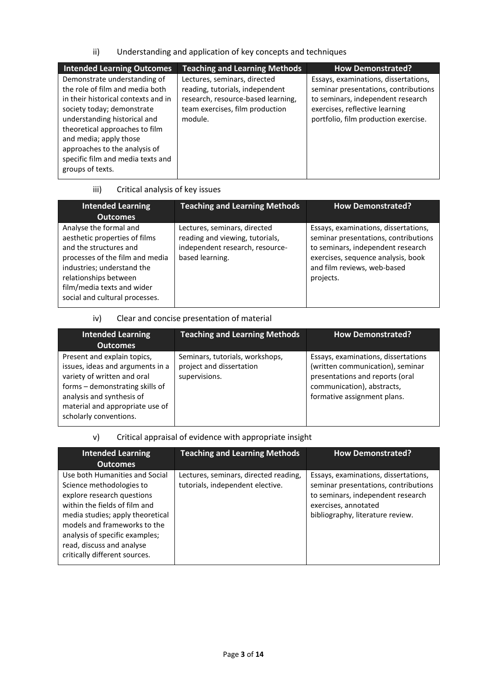### ii) Understanding and application of key concepts and techniques

| <b>Intended Learning Outcomes</b>                                                                                                                                                                                                                                                                                          | <b>Teaching and Learning Methods</b>                                                                                                                | <b>How Demonstrated?</b>                                                                                                                                                                    |
|----------------------------------------------------------------------------------------------------------------------------------------------------------------------------------------------------------------------------------------------------------------------------------------------------------------------------|-----------------------------------------------------------------------------------------------------------------------------------------------------|---------------------------------------------------------------------------------------------------------------------------------------------------------------------------------------------|
| Demonstrate understanding of<br>the role of film and media both<br>in their historical contexts and in<br>society today; demonstrate<br>understanding historical and<br>theoretical approaches to film<br>and media; apply those<br>approaches to the analysis of<br>specific film and media texts and<br>groups of texts. | Lectures, seminars, directed<br>reading, tutorials, independent<br>research, resource-based learning,<br>team exercises, film production<br>module. | Essays, examinations, dissertations,<br>seminar presentations, contributions<br>to seminars, independent research<br>exercises, reflective learning<br>portfolio, film production exercise. |
|                                                                                                                                                                                                                                                                                                                            |                                                                                                                                                     |                                                                                                                                                                                             |

# iii) Critical analysis of key issues

| <b>Intended Learning</b><br><b>Outcomes</b>                                                                                                                                                                                                 | <b>Teaching and Learning Methods</b>                                                                                  | <b>How Demonstrated?</b>                                                                                                                                                                            |
|---------------------------------------------------------------------------------------------------------------------------------------------------------------------------------------------------------------------------------------------|-----------------------------------------------------------------------------------------------------------------------|-----------------------------------------------------------------------------------------------------------------------------------------------------------------------------------------------------|
| Analyse the formal and<br>aesthetic properties of films<br>and the structures and<br>processes of the film and media<br>industries; understand the<br>relationships between<br>film/media texts and wider<br>social and cultural processes. | Lectures, seminars, directed<br>reading and viewing, tutorials,<br>independent research, resource-<br>based learning. | Essays, examinations, dissertations,<br>seminar presentations, contributions<br>to seminars, independent research<br>exercises, sequence analysis, book<br>and film reviews, web-based<br>projects. |

#### iv) Clear and concise presentation of material

| <b>Intended Learning</b>                                                                                                                                                                                                    | <b>Teaching and Learning Methods</b>                                         | <b>How Demonstrated?</b>                                                                                                                                                |
|-----------------------------------------------------------------------------------------------------------------------------------------------------------------------------------------------------------------------------|------------------------------------------------------------------------------|-------------------------------------------------------------------------------------------------------------------------------------------------------------------------|
| <b>Outcomes</b>                                                                                                                                                                                                             |                                                                              |                                                                                                                                                                         |
| Present and explain topics,<br>issues, ideas and arguments in a<br>variety of written and oral<br>forms - demonstrating skills of<br>analysis and synthesis of<br>material and appropriate use of<br>scholarly conventions. | Seminars, tutorials, workshops,<br>project and dissertation<br>supervisions. | Essays, examinations, dissertations<br>(written communication), seminar<br>presentations and reports (oral<br>communication), abstracts,<br>formative assignment plans. |

# v) Critical appraisal of evidence with appropriate insight

| <b>Intended Learning</b>                                                                                                                                                                                                                                                                      | <b>Teaching and Learning Methods</b>                                      | <b>How Demonstrated?</b>                                                                                                                                                      |
|-----------------------------------------------------------------------------------------------------------------------------------------------------------------------------------------------------------------------------------------------------------------------------------------------|---------------------------------------------------------------------------|-------------------------------------------------------------------------------------------------------------------------------------------------------------------------------|
| <b>Outcomes</b>                                                                                                                                                                                                                                                                               |                                                                           |                                                                                                                                                                               |
| Use both Humanities and Social<br>Science methodologies to<br>explore research questions<br>within the fields of film and<br>media studies; apply theoretical<br>models and frameworks to the<br>analysis of specific examples;<br>read, discuss and analyse<br>critically different sources. | Lectures, seminars, directed reading,<br>tutorials, independent elective. | Essays, examinations, dissertations,<br>seminar presentations, contributions<br>to seminars, independent research<br>exercises, annotated<br>bibliography, literature review. |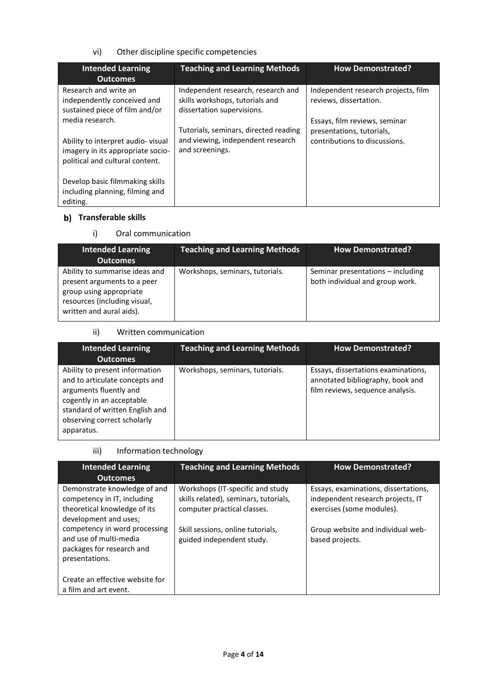### vi) Other discipline specific competencies

| <b>Intended Learning</b><br><b>Outcomes</b>                                                                                  | <b>Teaching and Learning Methods</b>                                                                | <b>How Demonstrated?</b>                                                                    |
|------------------------------------------------------------------------------------------------------------------------------|-----------------------------------------------------------------------------------------------------|---------------------------------------------------------------------------------------------|
| Research and write an<br>independently conceived and<br>sustained piece of film and/or                                       | Independent research, research and<br>skills workshops, tutorials and<br>dissertation supervisions. | Independent research projects, film<br>reviews, dissertation.                               |
| media research.<br>Ability to interpret audio-visual<br>imagery in its appropriate socio-<br>political and cultural content. | Tutorials, seminars, directed reading<br>and viewing, independent research<br>and screenings.       | Essays, film reviews, seminar<br>presentations, tutorials,<br>contributions to discussions. |
| Develop basic filmmaking skills<br>including planning, filming and<br>editing.                                               |                                                                                                     |                                                                                             |

# **Transferable skills**

### i) Oral communication

| <b>Intended Learning</b>                                                                                                                             | <b>Teaching and Learning Methods</b> | <b>How Demonstrated?</b>                                             |
|------------------------------------------------------------------------------------------------------------------------------------------------------|--------------------------------------|----------------------------------------------------------------------|
| <b>Outcomes</b>                                                                                                                                      |                                      |                                                                      |
| Ability to summarise ideas and<br>present arguments to a peer<br>group using appropriate<br>resources (including visual,<br>written and aural aids). | Workshops, seminars, tutorials.      | Seminar presentations - including<br>both individual and group work. |

#### ii) Written communication

| <b>Intended Learning</b><br><b>Outcomes</b>                                                                                                                                                             | <b>Teaching and Learning Methods</b> | <b>How Demonstrated?</b>                                                                                    |
|---------------------------------------------------------------------------------------------------------------------------------------------------------------------------------------------------------|--------------------------------------|-------------------------------------------------------------------------------------------------------------|
| Ability to present information<br>and to articulate concepts and<br>arguments fluently and<br>cogently in an acceptable<br>standard of written English and<br>observing correct scholarly<br>apparatus. | Workshops, seminars, tutorials.      | Essays, dissertations examinations,<br>annotated bibliography, book and<br>film reviews, sequence analysis. |

## iii) Information technology

| <b>Intended Learning</b><br><b>Outcomes</b>                                                                          | <b>Teaching and Learning Methods</b>                                                                     | <b>How Demonstrated?</b>                                                                               |
|----------------------------------------------------------------------------------------------------------------------|----------------------------------------------------------------------------------------------------------|--------------------------------------------------------------------------------------------------------|
| Demonstrate knowledge of and<br>competency in IT, including<br>theoretical knowledge of its<br>development and uses; | Workshops (IT-specific and study<br>skills related), seminars, tutorials,<br>computer practical classes. | Essays, examinations, dissertations,<br>independent research projects, IT<br>exercises (some modules). |
| competency in word processing<br>and use of multi-media<br>packages for research and<br>presentations.               | Skill sessions, online tutorials,<br>guided independent study.                                           | Group website and individual web-<br>based projects.                                                   |
| Create an effective website for<br>a film and art event.                                                             |                                                                                                          |                                                                                                        |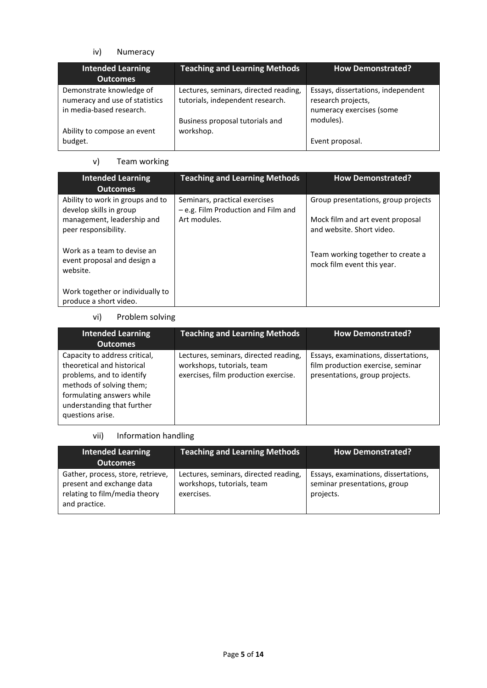## iv) Numeracy

| <b>Intended Learning</b><br><b>Outcomes</b>                                            | <b>Teaching and Learning Methods</b>                                      | <b>How Demonstrated?</b>                                                             |
|----------------------------------------------------------------------------------------|---------------------------------------------------------------------------|--------------------------------------------------------------------------------------|
| Demonstrate knowledge of<br>numeracy and use of statistics<br>in media-based research. | Lectures, seminars, directed reading,<br>tutorials, independent research. | Essays, dissertations, independent<br>research projects,<br>numeracy exercises (some |
| Ability to compose an event<br>budget.                                                 | Business proposal tutorials and<br>workshop.                              | modules).<br>Event proposal.                                                         |

# v) Team working

| <b>Intended Learning</b><br><b>Outcomes</b>                            | <b>Teaching and Learning Methods</b>                                 | <b>How Demonstrated?</b>                                        |
|------------------------------------------------------------------------|----------------------------------------------------------------------|-----------------------------------------------------------------|
| Ability to work in groups and to<br>develop skills in group            | Seminars, practical exercises<br>- e.g. Film Production and Film and | Group presentations, group projects                             |
| management, leadership and<br>peer responsibility.                     | Art modules.                                                         | Mock film and art event proposal<br>and website. Short video.   |
| Work as a team to devise an<br>event proposal and design a<br>website. |                                                                      | Team working together to create a<br>mock film event this year. |
| Work together or individually to<br>produce a short video.             |                                                                      |                                                                 |

## vi) Problem solving

| <b>Intended Learning</b><br><b>Outcomes</b>                                                                                                                                                         | <b>Teaching and Learning Methods</b>                                                                        | <b>How Demonstrated?</b>                                                                                    |
|-----------------------------------------------------------------------------------------------------------------------------------------------------------------------------------------------------|-------------------------------------------------------------------------------------------------------------|-------------------------------------------------------------------------------------------------------------|
| Capacity to address critical,<br>theoretical and historical<br>problems, and to identify<br>methods of solving them;<br>formulating answers while<br>understanding that further<br>questions arise. | Lectures, seminars, directed reading,<br>workshops, tutorials, team<br>exercises, film production exercise. | Essays, examinations, dissertations,<br>film production exercise, seminar<br>presentations, group projects. |

# vii) Information handling

| <b>Intended Learning</b><br><b>Outcomes</b>                                                                      | <b>Teaching and Learning Methods</b>                                              | <b>How Demonstrated?</b>                                                          |
|------------------------------------------------------------------------------------------------------------------|-----------------------------------------------------------------------------------|-----------------------------------------------------------------------------------|
| Gather, process, store, retrieve,<br>present and exchange data<br>relating to film/media theory<br>and practice. | Lectures, seminars, directed reading,<br>workshops, tutorials, team<br>exercises. | Essays, examinations, dissertations,<br>seminar presentations, group<br>projects. |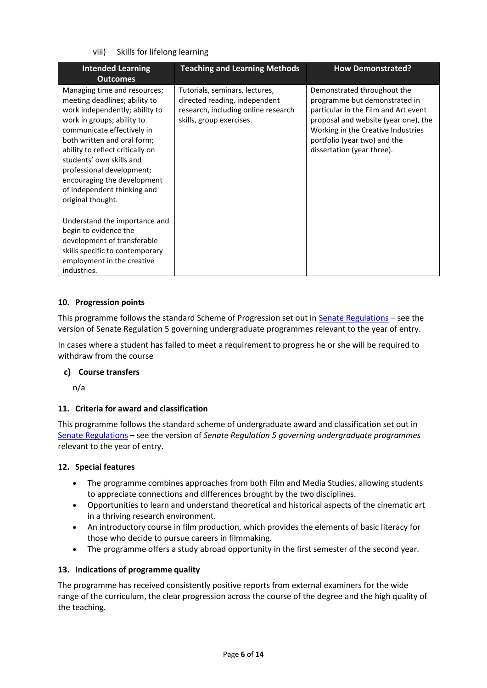viii) Skills for lifelong learning

| <b>Intended Learning</b><br><b>Outcomes</b>                                                                                                                                                                                                                                                                                                                                | <b>Teaching and Learning Methods</b>                                                                                               | <b>How Demonstrated?</b>                                                                                                                                                                                                                         |
|----------------------------------------------------------------------------------------------------------------------------------------------------------------------------------------------------------------------------------------------------------------------------------------------------------------------------------------------------------------------------|------------------------------------------------------------------------------------------------------------------------------------|--------------------------------------------------------------------------------------------------------------------------------------------------------------------------------------------------------------------------------------------------|
| Managing time and resources;<br>meeting deadlines; ability to<br>work independently; ability to<br>work in groups; ability to<br>communicate effectively in<br>both written and oral form;<br>ability to reflect critically on<br>students' own skills and<br>professional development;<br>encouraging the development<br>of independent thinking and<br>original thought. | Tutorials, seminars, lectures,<br>directed reading, independent<br>research, including online research<br>skills, group exercises. | Demonstrated throughout the<br>programme but demonstrated in<br>particular in the Film and Art event<br>proposal and website (year one), the<br>Working in the Creative Industries<br>portfolio (year two) and the<br>dissertation (year three). |
| Understand the importance and<br>begin to evidence the<br>development of transferable<br>skills specific to contemporary<br>employment in the creative<br>industries.                                                                                                                                                                                                      |                                                                                                                                    |                                                                                                                                                                                                                                                  |

#### **10. Progression points**

This programme follows the standard Scheme of Progression set out i[n Senate Regulations](http://www.le.ac.uk/senate-regulations) – see the version of Senate Regulation 5 governing undergraduate programmes relevant to the year of entry.

In cases where a student has failed to meet a requirement to progress he or she will be required to withdraw from the course

#### **Course transfers**

n/a

### **11. Criteria for award and classification**

This programme follows the standard scheme of undergraduate award and classification set out in [Senate Regulations](http://www.le.ac.uk/senate-regulations) – see the version of *Senate Regulation 5 governing undergraduate programmes* relevant to the year of entry.

#### **12. Special features**

- The programme combines approaches from both Film and Media Studies, allowing students to appreciate connections and differences brought by the two disciplines.
- Opportunities to learn and understand theoretical and historical aspects of the cinematic art in a thriving research environment.
- An introductory course in film production, which provides the elements of basic literacy for those who decide to pursue careers in filmmaking.
- The programme offers a study abroad opportunity in the first semester of the second year.

#### **13. Indications of programme quality**

The programme has received consistently positive reports from external examiners for the wide range of the curriculum, the clear progression across the course of the degree and the high quality of the teaching.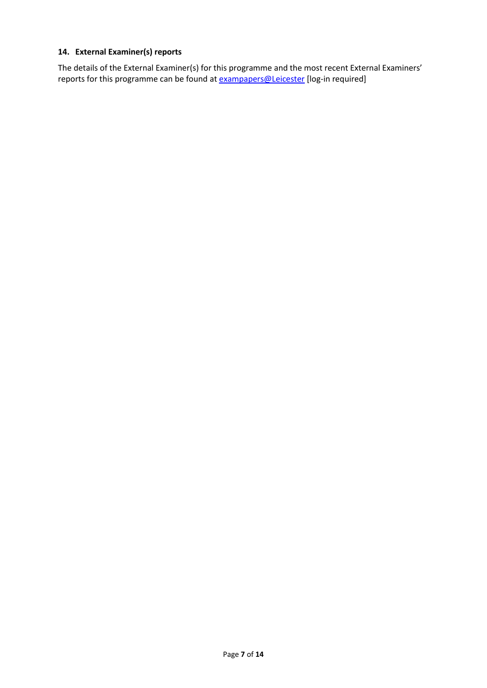# **14. External Examiner(s) reports**

The details of the External Examiner(s) for this programme and the most recent External Examiners' reports for this programme can be found at **[exampapers@Leicester](https://exampapers.le.ac.uk/)** [log-in required]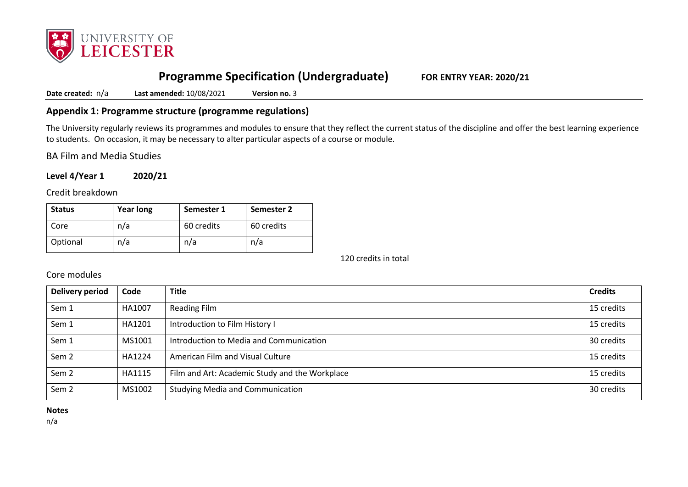

# **Programme Specification (Undergraduate) FOR ENTRY YEAR: 2020/21**

**Date created:** n/a **Last amended:** 10/08/2021 **Version no.** 3

# **Appendix 1: Programme structure (programme regulations)**

The University regularly reviews its programmes and modules to ensure that they reflect the current status of the discipline and offer the best learning experience to students. On occasion, it may be necessary to alter particular aspects of a course or module.

BA Film and Media Studies

**Level 4/Year 1 2020/21**

Credit breakdown

| <b>Status</b> | <b>Year long</b> | Semester 1 | Semester 2 |
|---------------|------------------|------------|------------|
| Core          | n/a              | 60 credits | 60 credits |
| Optional      | n/a              | n/a        | n/a        |

120 credits in total

Core modules

| Delivery period  | Code   | <b>Title</b>                                   | <b>Credits</b> |
|------------------|--------|------------------------------------------------|----------------|
| Sem 1            | HA1007 | <b>Reading Film</b>                            | 15 credits     |
| Sem 1            | HA1201 | Introduction to Film History I                 | 15 credits     |
| Sem 1            | MS1001 | Introduction to Media and Communication        | 30 credits     |
| Sem <sub>2</sub> | HA1224 | American Film and Visual Culture               | 15 credits     |
| Sem <sub>2</sub> | HA1115 | Film and Art: Academic Study and the Workplace | 15 credits     |
| Sem <sub>2</sub> | MS1002 | <b>Studying Media and Communication</b>        | 30 credits     |

**Notes**

n/a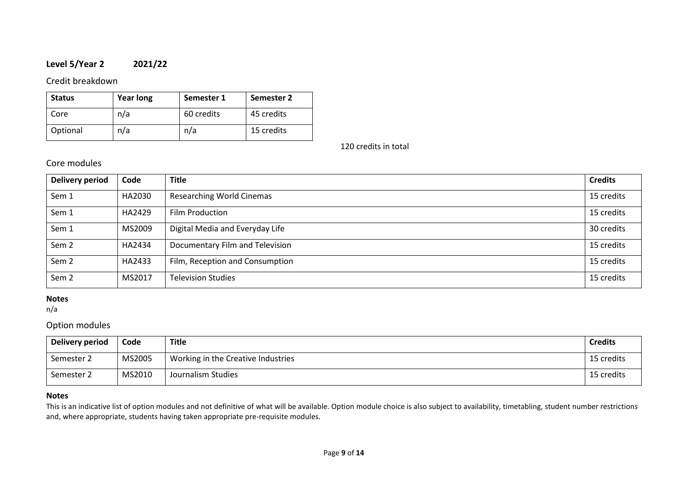# **Level 5/Year 2 2021/22**

## Credit breakdown

| <b>Status</b> | <b>Year long</b> | Semester 1 | Semester 2 |
|---------------|------------------|------------|------------|
| Core          | n/a              | 60 credits | 45 credits |
| Optional      | n/a              | n/a        | 15 credits |

120 credits in total

# Core modules

| <b>Delivery period</b> | Code   | <b>Title</b>                     | <b>Credits</b> |
|------------------------|--------|----------------------------------|----------------|
| Sem 1                  | HA2030 | <b>Researching World Cinemas</b> | 15 credits     |
| Sem 1                  | HA2429 | Film Production                  | 15 credits     |
| Sem 1                  | MS2009 | Digital Media and Everyday Life  | 30 credits     |
| Sem <sub>2</sub>       | HA2434 | Documentary Film and Television  | 15 credits     |
| Sem <sub>2</sub>       | HA2433 | Film, Reception and Consumption  | 15 credits     |
| Sem <sub>2</sub>       | MS2017 | <b>Television Studies</b>        | 15 credits     |

#### **Notes**

n/a

# Option modules

| Delivery period | Code   | Title                              | <b>Credits</b> |
|-----------------|--------|------------------------------------|----------------|
| Semester 2      | MS2005 | Working in the Creative Industries | 15 credits     |
| Semester 2      | MS2010 | Journalism Studies                 | 15 credits     |

### **Notes**

This is an indicative list of option modules and not definitive of what will be available. Option module choice is also subject to availability, timetabling, student number restrictions and, where appropriate, students having taken appropriate pre-requisite modules.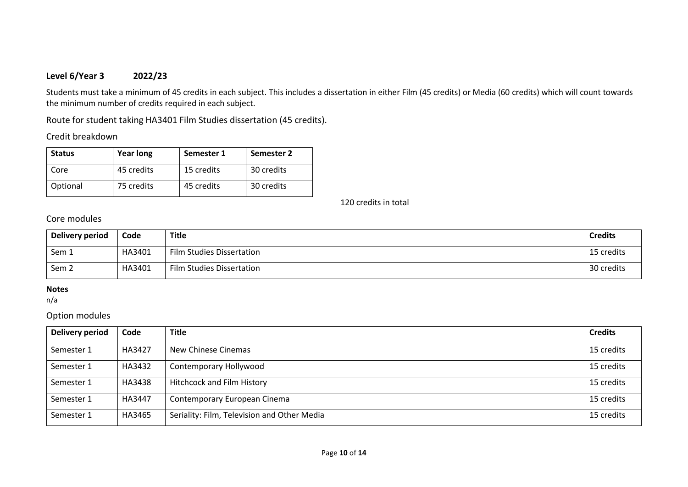# **Level 6/Year 3 2022/23**

Students must take a minimum of 45 credits in each subject. This includes a dissertation in either Film (45 credits) or Media (60 credits) which will count towards the minimum number of credits required in each subject.

Route for student taking HA3401 Film Studies dissertation (45 credits).

Credit breakdown

| <b>Status</b> | <b>Year long</b> | Semester 1 | Semester 2 |
|---------------|------------------|------------|------------|
| Core          | 45 credits       | 15 credits | 30 credits |
| Optional      | 75 credits       | 45 credits | 30 credits |

120 credits in total

Core modules

| Delivery period  | Code   | <b>Title</b>              | <b>Credits</b> |
|------------------|--------|---------------------------|----------------|
| Sem 1            | HA3401 | Film Studies Dissertation | 15 credits     |
| Sem <sub>2</sub> | HA3401 | Film Studies Dissertation | 30 credits     |

## **Notes**

n/a

# Option modules

| Delivery period | Code   | <b>Title</b>                                | <b>Credits</b> |
|-----------------|--------|---------------------------------------------|----------------|
| Semester 1      | HA3427 | New Chinese Cinemas                         | 15 credits     |
| Semester 1      | HA3432 | Contemporary Hollywood                      | 15 credits     |
| Semester 1      | HA3438 | <b>Hitchcock and Film History</b>           | 15 credits     |
| Semester 1      | HA3447 | Contemporary European Cinema                | 15 credits     |
| Semester 1      | HA3465 | Seriality: Film, Television and Other Media | 15 credits     |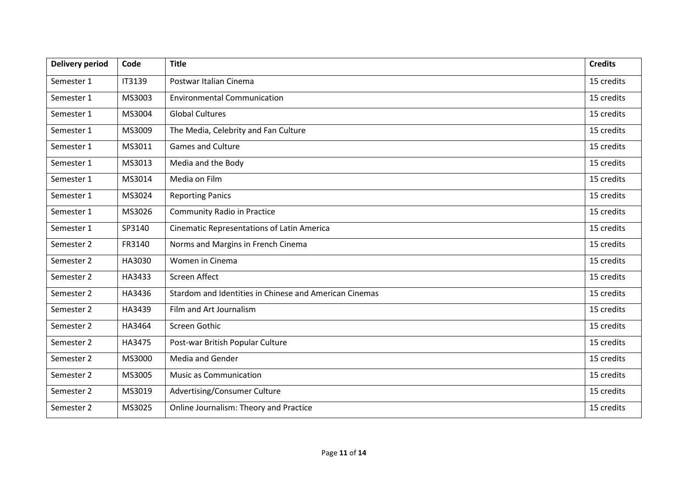| <b>Delivery period</b> | Code   | <b>Title</b>                                           | <b>Credits</b> |
|------------------------|--------|--------------------------------------------------------|----------------|
| Semester 1             | IT3139 | Postwar Italian Cinema                                 | 15 credits     |
| Semester 1             | MS3003 | <b>Environmental Communication</b>                     | 15 credits     |
| Semester 1             | MS3004 | <b>Global Cultures</b>                                 | 15 credits     |
| Semester 1             | MS3009 | The Media, Celebrity and Fan Culture                   | 15 credits     |
| Semester 1             | MS3011 | <b>Games and Culture</b>                               | 15 credits     |
| Semester 1             | MS3013 | Media and the Body                                     | 15 credits     |
| Semester 1             | MS3014 | Media on Film                                          | 15 credits     |
| Semester 1             | MS3024 | <b>Reporting Panics</b>                                | 15 credits     |
| Semester 1             | MS3026 | <b>Community Radio in Practice</b>                     | 15 credits     |
| Semester 1             | SP3140 | Cinematic Representations of Latin America             | 15 credits     |
| Semester 2             | FR3140 | Norms and Margins in French Cinema                     | 15 credits     |
| Semester 2             | HA3030 | Women in Cinema                                        | 15 credits     |
| Semester 2             | HA3433 | Screen Affect                                          | 15 credits     |
| Semester 2             | HA3436 | Stardom and Identities in Chinese and American Cinemas | 15 credits     |
| Semester 2             | HA3439 | Film and Art Journalism                                | 15 credits     |
| Semester 2             | HA3464 | Screen Gothic                                          | 15 credits     |
| Semester 2             | HA3475 | Post-war British Popular Culture                       | 15 credits     |
| Semester 2             | MS3000 | Media and Gender                                       | 15 credits     |
| Semester 2             | MS3005 | <b>Music as Communication</b>                          | 15 credits     |
| Semester 2             | MS3019 | Advertising/Consumer Culture                           | 15 credits     |
| Semester 2             | MS3025 | Online Journalism: Theory and Practice                 | 15 credits     |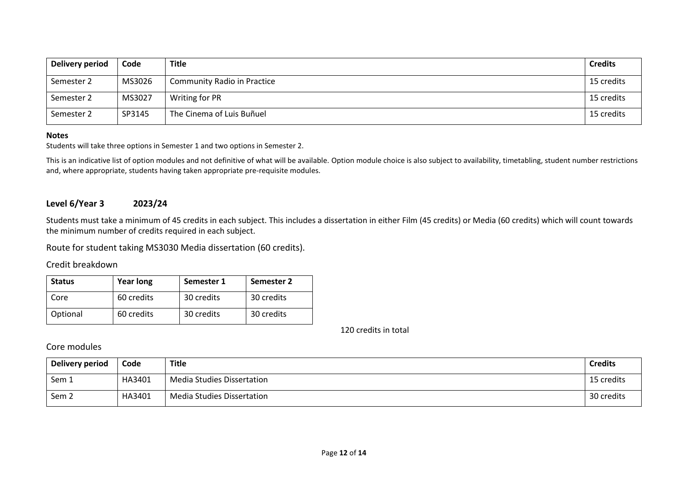| Delivery period | Code   | <b>Title</b>                       | <b>Credits</b> |
|-----------------|--------|------------------------------------|----------------|
| Semester 2      | MS3026 | <b>Community Radio in Practice</b> | 15 credits     |
| Semester 2      | MS3027 | Writing for PR                     | 15 credits     |
| Semester 2      | SP3145 | The Cinema of Luis Buñuel          | 15 credits     |

#### **Notes**

Students will take three options in Semester 1 and two options in Semester 2.

This is an indicative list of option modules and not definitive of what will be available. Option module choice is also subject to availability, timetabling, student number restrictions and, where appropriate, students having taken appropriate pre-requisite modules.

# **Level 6/Year 3 2023/24**

Students must take a minimum of 45 credits in each subject. This includes a dissertation in either Film (45 credits) or Media (60 credits) which will count towards the minimum number of credits required in each subject.

Route for student taking MS3030 Media dissertation (60 credits).

### Credit breakdown

| <b>Status</b> | <b>Year long</b> | Semester 1 | Semester 2 |
|---------------|------------------|------------|------------|
| Core          | 60 credits       | 30 credits | 30 credits |
| Optional      | 60 credits       | 30 credits | 30 credits |

120 credits in total

# Core modules

| Delivery period | Code   | <b>Title</b>                      | <b>Credits</b> |
|-----------------|--------|-----------------------------------|----------------|
| Sem 1           | HA3401 | <b>Media Studies Dissertation</b> | 15 credits     |
| Sem 2           | HA3401 | <b>Media Studies Dissertation</b> | 30 credits     |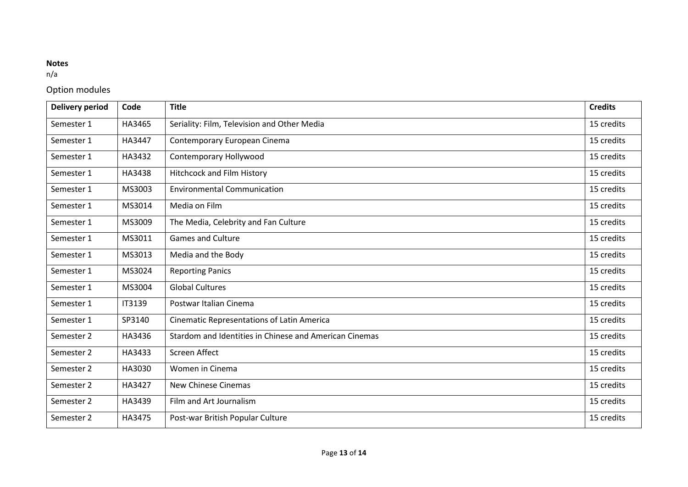# **Notes**

n/a

# Option modules

| <b>Delivery period</b> | Code   | <b>Title</b>                                           | <b>Credits</b> |
|------------------------|--------|--------------------------------------------------------|----------------|
| Semester 1             | HA3465 | Seriality: Film, Television and Other Media            | 15 credits     |
| Semester 1             | HA3447 | Contemporary European Cinema                           | 15 credits     |
| Semester 1             | HA3432 | Contemporary Hollywood                                 | 15 credits     |
| Semester 1             | HA3438 | Hitchcock and Film History                             | 15 credits     |
| Semester 1             | MS3003 | <b>Environmental Communication</b>                     | 15 credits     |
| Semester 1             | MS3014 | Media on Film                                          | 15 credits     |
| Semester 1             | MS3009 | The Media, Celebrity and Fan Culture                   | 15 credits     |
| Semester 1             | MS3011 | <b>Games and Culture</b>                               | 15 credits     |
| Semester 1             | MS3013 | Media and the Body                                     | 15 credits     |
| Semester 1             | MS3024 | <b>Reporting Panics</b>                                | 15 credits     |
| Semester 1             | MS3004 | <b>Global Cultures</b>                                 | 15 credits     |
| Semester 1             | IT3139 | Postwar Italian Cinema                                 | 15 credits     |
| Semester 1             | SP3140 | <b>Cinematic Representations of Latin America</b>      | 15 credits     |
| Semester 2             | HA3436 | Stardom and Identities in Chinese and American Cinemas | 15 credits     |
| Semester 2             | HA3433 | Screen Affect                                          | 15 credits     |
| Semester 2             | HA3030 | Women in Cinema                                        | 15 credits     |
| Semester 2             | HA3427 | <b>New Chinese Cinemas</b>                             | 15 credits     |
| Semester 2             | HA3439 | Film and Art Journalism                                | 15 credits     |
| Semester 2             | HA3475 | Post-war British Popular Culture                       | 15 credits     |